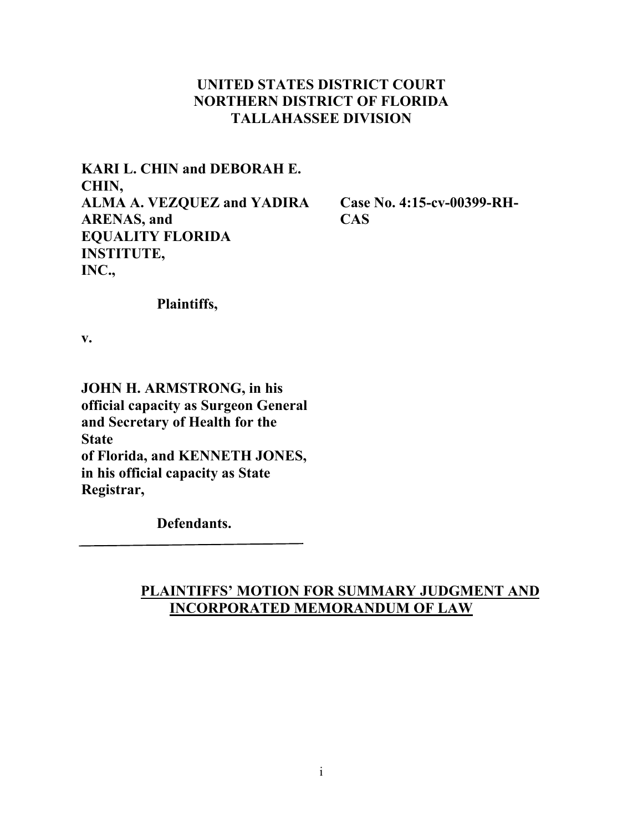## **UNITED STATES DISTRICT COURT NORTHERN DISTRICT OF FLORIDA TALLAHASSEE DIVISION**

**KARI L. CHIN and DEBORAH E. CHIN, ALMA A. VEZQUEZ and YADIRA ARENAS, and EQUALITY FLORIDA INSTITUTE, INC.,** 

**Case No. 4:15-cv-00399-RH-CAS** 

 **Plaintiffs,** 

**v.** 

**JOHN H. ARMSTRONG, in his official capacity as Surgeon General and Secretary of Health for the State of Florida, and KENNETH JONES, in his official capacity as State Registrar,** 

 **Defendants.** 

# **PLAINTIFFS' MOTION FOR SUMMARY JUDGMENT AND INCORPORATED MEMORANDUM OF LAW**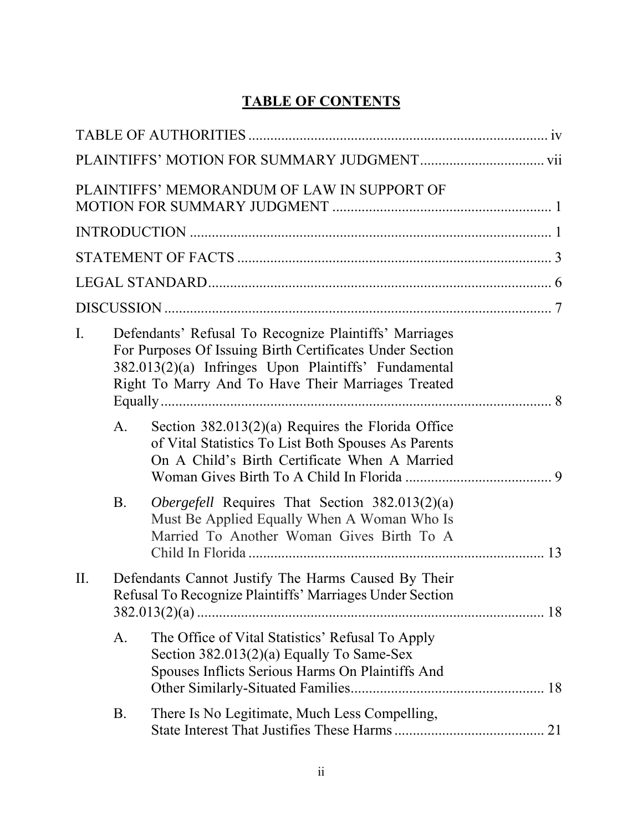# **TABLE OF CONTENTS**

|             |                                                                                                                                                                                                                                  | PLAINTIFFS' MEMORANDUM OF LAW IN SUPPORT OF                                                                                                                 |    |
|-------------|----------------------------------------------------------------------------------------------------------------------------------------------------------------------------------------------------------------------------------|-------------------------------------------------------------------------------------------------------------------------------------------------------------|----|
|             |                                                                                                                                                                                                                                  |                                                                                                                                                             |    |
|             |                                                                                                                                                                                                                                  |                                                                                                                                                             |    |
|             |                                                                                                                                                                                                                                  |                                                                                                                                                             |    |
|             |                                                                                                                                                                                                                                  |                                                                                                                                                             |    |
| $I_{\cdot}$ | Defendants' Refusal To Recognize Plaintiffs' Marriages<br>For Purposes Of Issuing Birth Certificates Under Section<br>382.013(2)(a) Infringes Upon Plaintiffs' Fundamental<br>Right To Marry And To Have Their Marriages Treated |                                                                                                                                                             |    |
|             | $A_{\cdot}$                                                                                                                                                                                                                      | Section $382.013(2)(a)$ Requires the Florida Office<br>of Vital Statistics To List Both Spouses As Parents<br>On A Child's Birth Certificate When A Married |    |
|             | <b>B.</b>                                                                                                                                                                                                                        | Obergefell Requires That Section 382.013(2)(a)<br>Must Be Applied Equally When A Woman Who Is<br>Married To Another Woman Gives Birth To A                  | 13 |
| II.         | Defendants Cannot Justify The Harms Caused By Their<br>Refusal To Recognize Plaintiffs' Marriages Under Section                                                                                                                  |                                                                                                                                                             |    |
|             | A.                                                                                                                                                                                                                               | The Office of Vital Statistics' Refusal To Apply<br>Section 382.013(2)(a) Equally To Same-Sex<br>Spouses Inflicts Serious Harms On Plaintiffs And           |    |
|             | B.                                                                                                                                                                                                                               | There Is No Legitimate, Much Less Compelling,                                                                                                               |    |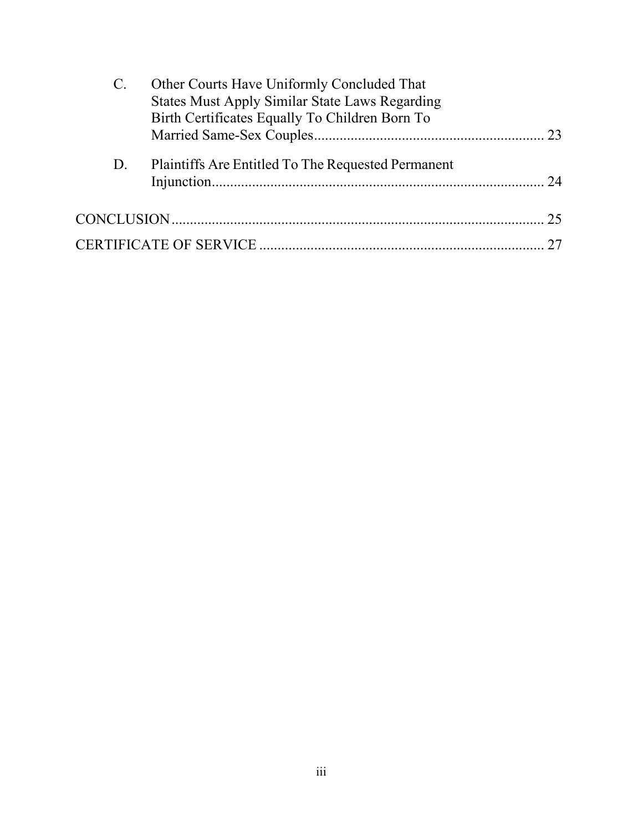| $\mathcal{C}$ . | Other Courts Have Uniformly Concluded That            |  |
|-----------------|-------------------------------------------------------|--|
|                 | <b>States Must Apply Similar State Laws Regarding</b> |  |
|                 | Birth Certificates Equally To Children Born To        |  |
|                 |                                                       |  |
|                 |                                                       |  |
| D.              | Plaintiffs Are Entitled To The Requested Permanent    |  |
|                 |                                                       |  |
|                 |                                                       |  |
|                 |                                                       |  |
|                 |                                                       |  |
|                 |                                                       |  |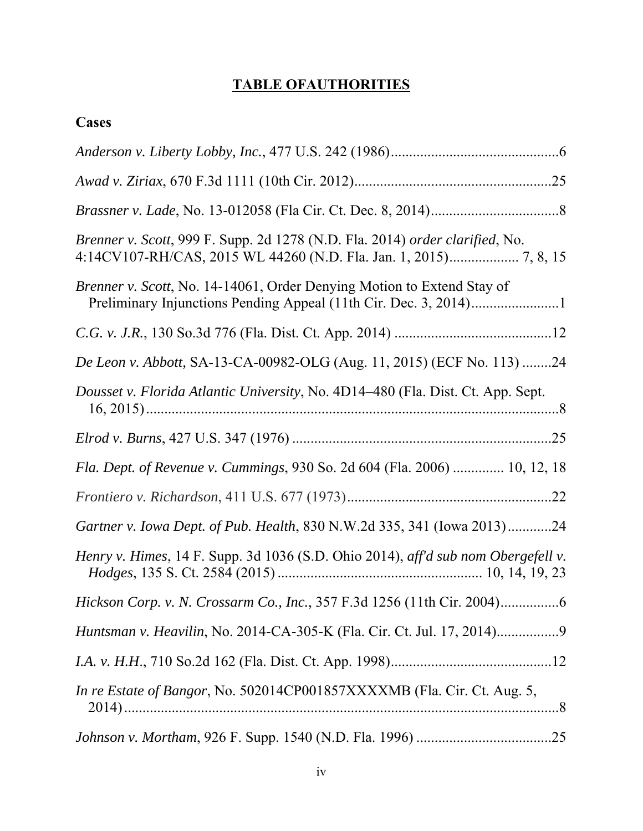# **TABLE OFAUTHORITIES**

| ase<br>۰۵<br>◥ |
|----------------|
|----------------|

| Brenner v. Scott, 999 F. Supp. 2d 1278 (N.D. Fla. 2014) order clarified, No.      |
|-----------------------------------------------------------------------------------|
| Brenner v. Scott, No. 14-14061, Order Denying Motion to Extend Stay of            |
|                                                                                   |
| De Leon v. Abbott, SA-13-CA-00982-OLG (Aug. 11, 2015) (ECF No. 113) 24            |
| Dousset v. Florida Atlantic University, No. 4D14-480 (Fla. Dist. Ct. App. Sept.   |
|                                                                                   |
| Fla. Dept. of Revenue v. Cummings, 930 So. 2d 604 (Fla. 2006)  10, 12, 18         |
|                                                                                   |
| Gartner v. Iowa Dept. of Pub. Health, 830 N.W.2d 335, 341 (Iowa 2013)24           |
| Henry v. Himes, 14 F. Supp. 3d 1036 (S.D. Ohio 2014), aff'd sub nom Obergefell v. |
|                                                                                   |
| Huntsman v. Heavilin, No. 2014-CA-305-K (Fla. Cir. Ct. Jul. 17, 2014)9            |
|                                                                                   |
| In re Estate of Bangor, No. 502014CP001857XXXXMB (Fla. Cir. Ct. Aug. 5,           |
|                                                                                   |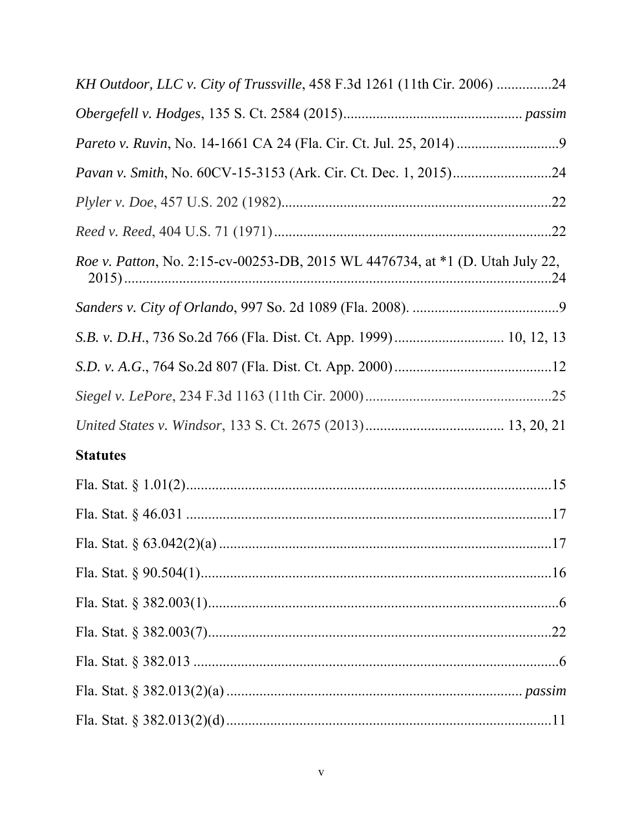| KH Outdoor, LLC v. City of Trussville, 458 F.3d 1261 (11th Cir. 2006) 24      |  |
|-------------------------------------------------------------------------------|--|
|                                                                               |  |
|                                                                               |  |
|                                                                               |  |
|                                                                               |  |
|                                                                               |  |
| Roe v. Patton, No. 2:15-cv-00253-DB, 2015 WL 4476734, at *1 (D. Utah July 22, |  |
|                                                                               |  |
|                                                                               |  |
|                                                                               |  |
|                                                                               |  |
|                                                                               |  |
| <b>Statutes</b>                                                               |  |
|                                                                               |  |
|                                                                               |  |
|                                                                               |  |
|                                                                               |  |
|                                                                               |  |
|                                                                               |  |
|                                                                               |  |
|                                                                               |  |
|                                                                               |  |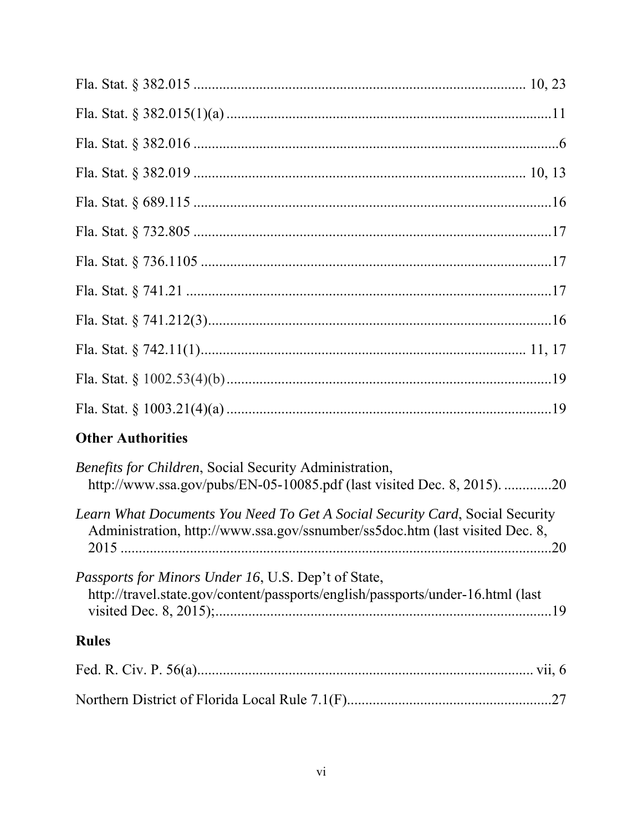| <b>Other Authorities</b>                                                                                                                                     |
|--------------------------------------------------------------------------------------------------------------------------------------------------------------|
| <i>Benefits for Children, Social Security Administration,</i><br>http://www.ssa.gov/pubs/EN-05-10085.pdf (last visited Dec. 8, 2015). 20                     |
| Learn What Documents You Need To Get A Social Security Card, Social Security<br>Administration, http://www.ssa.gov/ssnumber/ss5doc.htm (last visited Dec. 8, |
| Passports for Minors Under 16, U.S. Dep't of State,<br>http://travel.state.gov/content/passports/english/passports/under-16.html (last                       |
| <b>Rules</b>                                                                                                                                                 |
|                                                                                                                                                              |
|                                                                                                                                                              |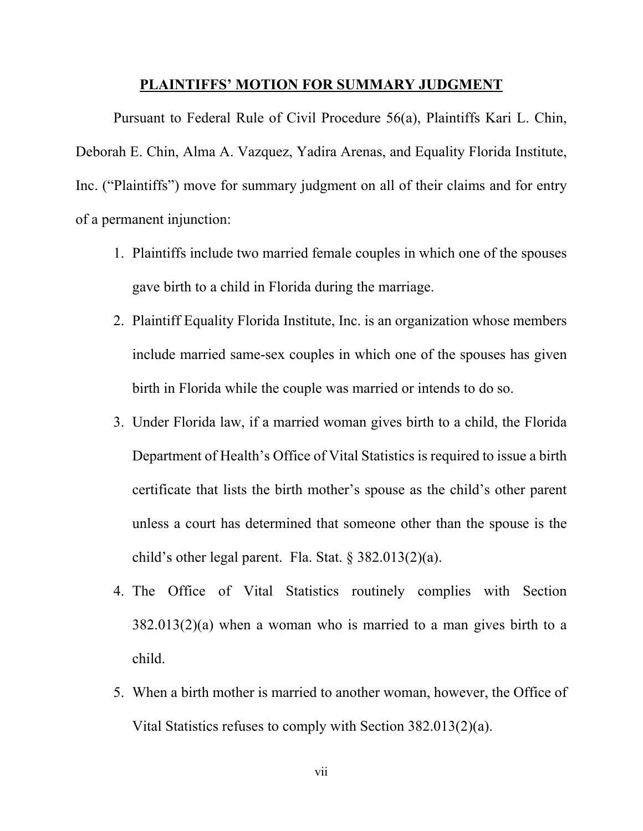#### **PLAINTIFFS' MOTION FOR SUMMARY JUDGMENT**

Pursuant to Federal Rule of Civil Procedure 56(a), Plaintiffs Kari L. Chin, Deborah E. Chin, Alma A. Vazquez, Yadira Arenas, and Equality Florida Institute, Inc. ("Plaintiffs") move for summary judgment on all of their claims and for entry of a permanent injunction:

- 1. Plaintiffs include two married female couples in which one of the spouses gave birth to a child in Florida during the marriage.
- 2. Plaintiff Equality Florida Institute, Inc. is an organization whose members include married same-sex couples in which one of the spouses has given birth in Florida while the couple was married or intends to do so.
- 3. Under Florida law, if a married woman gives birth to a child, the Florida Department of Health's Office of Vital Statistics is required to issue a birth certificate that lists the birth mother's spouse as the child's other parent unless a court has determined that someone other than the spouse is the child's other legal parent. Fla. Stat. § 382.013(2)(a).
- 4. The Office of Vital Statistics routinely complies with Section 382.013(2)(a) when a woman who is married to a man gives birth to a child.
- 5. When a birth mother is married to another woman, however, the Office of Vital Statistics refuses to comply with Section 382.013(2)(a).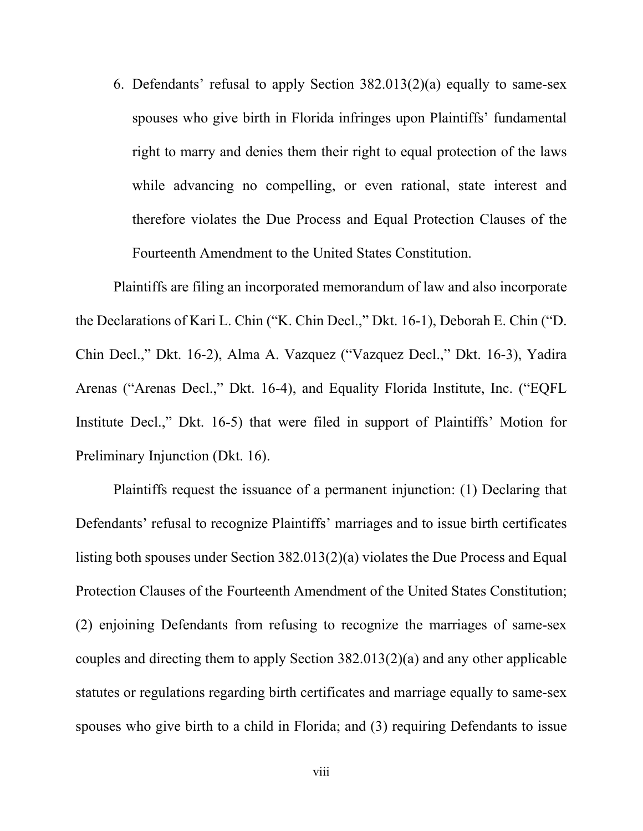6. Defendants' refusal to apply Section 382.013(2)(a) equally to same-sex spouses who give birth in Florida infringes upon Plaintiffs' fundamental right to marry and denies them their right to equal protection of the laws while advancing no compelling, or even rational, state interest and therefore violates the Due Process and Equal Protection Clauses of the Fourteenth Amendment to the United States Constitution.

Plaintiffs are filing an incorporated memorandum of law and also incorporate the Declarations of Kari L. Chin ("K. Chin Decl.," Dkt. 16-1), Deborah E. Chin ("D. Chin Decl.," Dkt. 16-2), Alma A. Vazquez ("Vazquez Decl.," Dkt. 16-3), Yadira Arenas ("Arenas Decl.," Dkt. 16-4), and Equality Florida Institute, Inc. ("EQFL Institute Decl.," Dkt. 16-5) that were filed in support of Plaintiffs' Motion for Preliminary Injunction (Dkt. 16).

Plaintiffs request the issuance of a permanent injunction: (1) Declaring that Defendants' refusal to recognize Plaintiffs' marriages and to issue birth certificates listing both spouses under Section 382.013(2)(a) violates the Due Process and Equal Protection Clauses of the Fourteenth Amendment of the United States Constitution; (2) enjoining Defendants from refusing to recognize the marriages of same-sex couples and directing them to apply Section 382.013(2)(a) and any other applicable statutes or regulations regarding birth certificates and marriage equally to same-sex spouses who give birth to a child in Florida; and (3) requiring Defendants to issue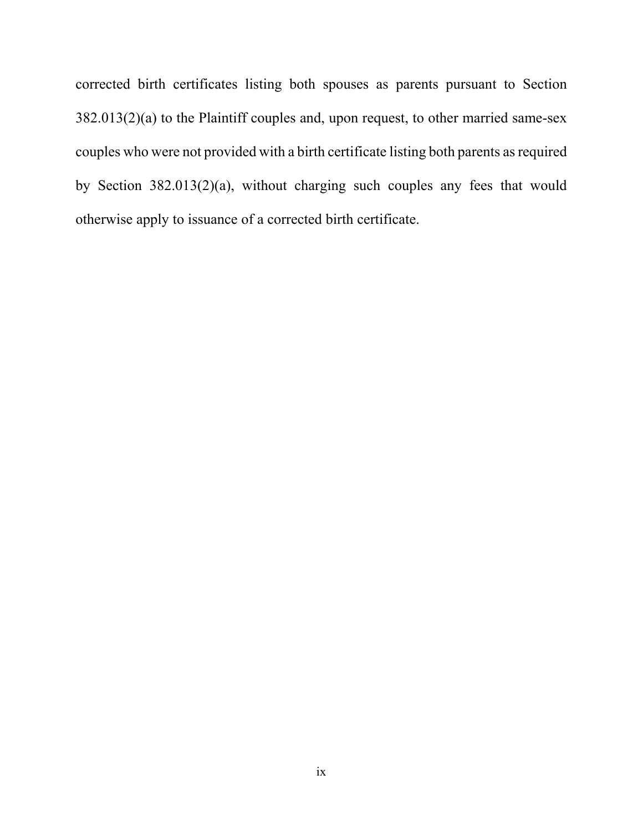corrected birth certificates listing both spouses as parents pursuant to Section 382.013(2)(a) to the Plaintiff couples and, upon request, to other married same-sex couples who were not provided with a birth certificate listing both parents as required by Section 382.013(2)(a), without charging such couples any fees that would otherwise apply to issuance of a corrected birth certificate.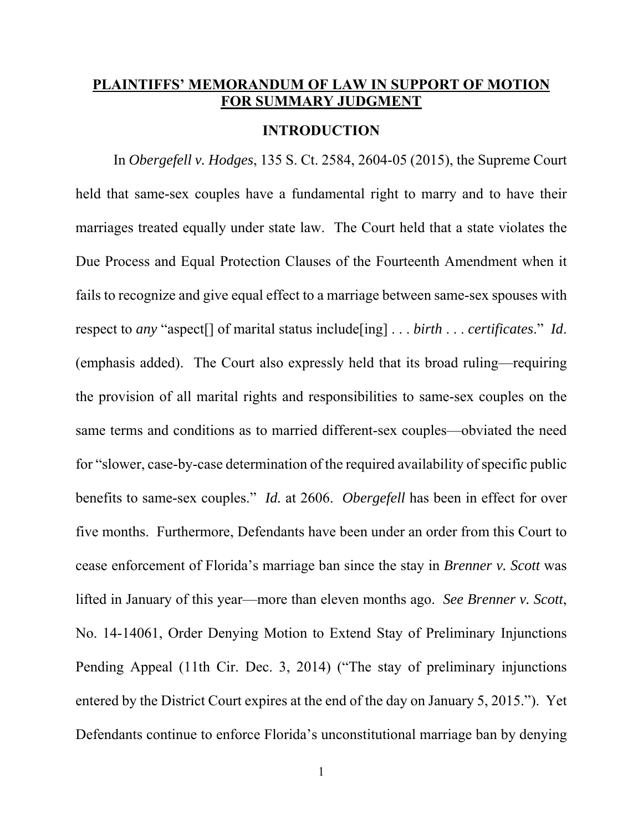## **PLAINTIFFS' MEMORANDUM OF LAW IN SUPPORT OF MOTION FOR SUMMARY JUDGMENT**

#### **INTRODUCTION**

In *Obergefell v. Hodges*, 135 S. Ct. 2584, 2604-05 (2015), the Supreme Court held that same-sex couples have a fundamental right to marry and to have their marriages treated equally under state law. The Court held that a state violates the Due Process and Equal Protection Clauses of the Fourteenth Amendment when it fails to recognize and give equal effect to a marriage between same-sex spouses with respect to *any* "aspect[] of marital status include[ing] . . . *birth* . . . *certificates*." *Id*. (emphasis added). The Court also expressly held that its broad ruling—requiring the provision of all marital rights and responsibilities to same-sex couples on the same terms and conditions as to married different-sex couples—obviated the need for "slower, case-by-case determination of the required availability of specific public benefits to same-sex couples." *Id.* at 2606. *Obergefell* has been in effect for over five months. Furthermore, Defendants have been under an order from this Court to cease enforcement of Florida's marriage ban since the stay in *Brenner v. Scott* was lifted in January of this year—more than eleven months ago. *See Brenner v. Scott*, No. 14-14061, Order Denying Motion to Extend Stay of Preliminary Injunctions Pending Appeal (11th Cir. Dec. 3, 2014) ("The stay of preliminary injunctions entered by the District Court expires at the end of the day on January 5, 2015."). Yet Defendants continue to enforce Florida's unconstitutional marriage ban by denying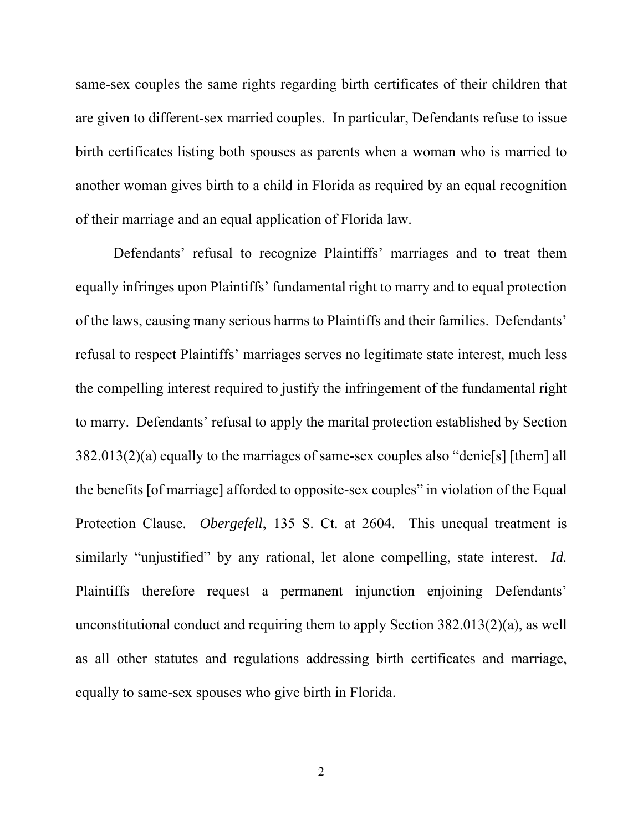same-sex couples the same rights regarding birth certificates of their children that are given to different-sex married couples. In particular, Defendants refuse to issue birth certificates listing both spouses as parents when a woman who is married to another woman gives birth to a child in Florida as required by an equal recognition of their marriage and an equal application of Florida law.

Defendants' refusal to recognize Plaintiffs' marriages and to treat them equally infringes upon Plaintiffs' fundamental right to marry and to equal protection of the laws, causing many serious harms to Plaintiffs and their families. Defendants' refusal to respect Plaintiffs' marriages serves no legitimate state interest, much less the compelling interest required to justify the infringement of the fundamental right to marry. Defendants' refusal to apply the marital protection established by Section 382.013(2)(a) equally to the marriages of same-sex couples also "denie[s] [them] all the benefits [of marriage] afforded to opposite-sex couples" in violation of the Equal Protection Clause. *Obergefell*, 135 S. Ct. at 2604. This unequal treatment is similarly "unjustified" by any rational, let alone compelling, state interest. *Id.*  Plaintiffs therefore request a permanent injunction enjoining Defendants' unconstitutional conduct and requiring them to apply Section 382.013(2)(a), as well as all other statutes and regulations addressing birth certificates and marriage, equally to same-sex spouses who give birth in Florida.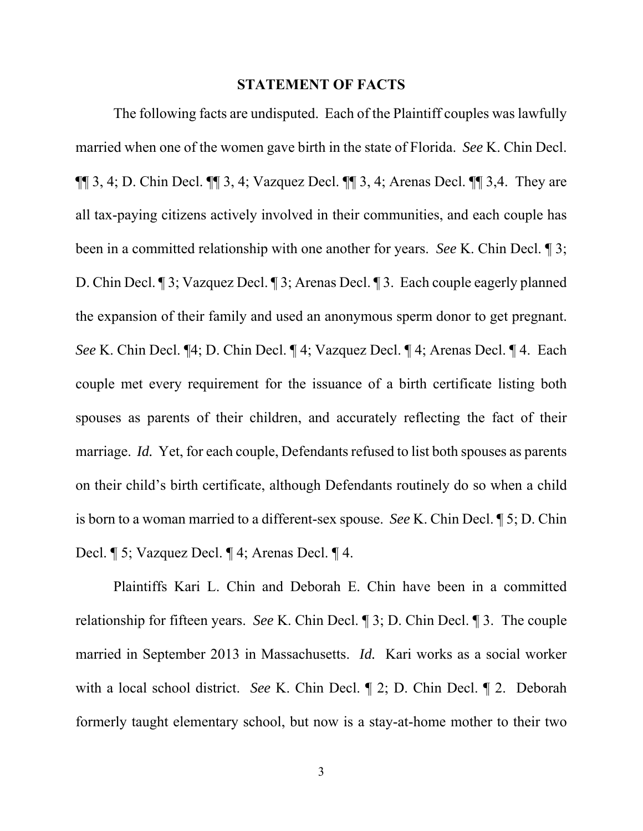#### **STATEMENT OF FACTS**

The following facts are undisputed. Each of the Plaintiff couples was lawfully married when one of the women gave birth in the state of Florida. *See* K. Chin Decl.  $\P\P$  3, 4; D. Chin Decl.  $\P\P$  3, 4; Vazquez Decl.  $\P\P$  3, 4; Arenas Decl.  $\P\P$  3, 4. They are all tax-paying citizens actively involved in their communities, and each couple has been in a committed relationship with one another for years. *See* K. Chin Decl. ¶ 3; D. Chin Decl. ¶ 3; Vazquez Decl. ¶ 3; Arenas Decl. ¶ 3. Each couple eagerly planned the expansion of their family and used an anonymous sperm donor to get pregnant. *See* K. Chin Decl. ¶4; D. Chin Decl. ¶ 4; Vazquez Decl. ¶ 4; Arenas Decl. ¶ 4. Each couple met every requirement for the issuance of a birth certificate listing both spouses as parents of their children, and accurately reflecting the fact of their marriage. *Id.* Yet, for each couple, Defendants refused to list both spouses as parents on their child's birth certificate, although Defendants routinely do so when a child is born to a woman married to a different-sex spouse. *See* K. Chin Decl. ¶ 5; D. Chin Decl. ¶ 5; Vazquez Decl. ¶ 4; Arenas Decl. ¶ 4.

Plaintiffs Kari L. Chin and Deborah E. Chin have been in a committed relationship for fifteen years. *See* K. Chin Decl. ¶ 3; D. Chin Decl. ¶ 3. The couple married in September 2013 in Massachusetts. *Id.* Kari works as a social worker with a local school district. *See* K. Chin Decl. ¶ 2; D. Chin Decl. ¶ 2. Deborah formerly taught elementary school, but now is a stay-at-home mother to their two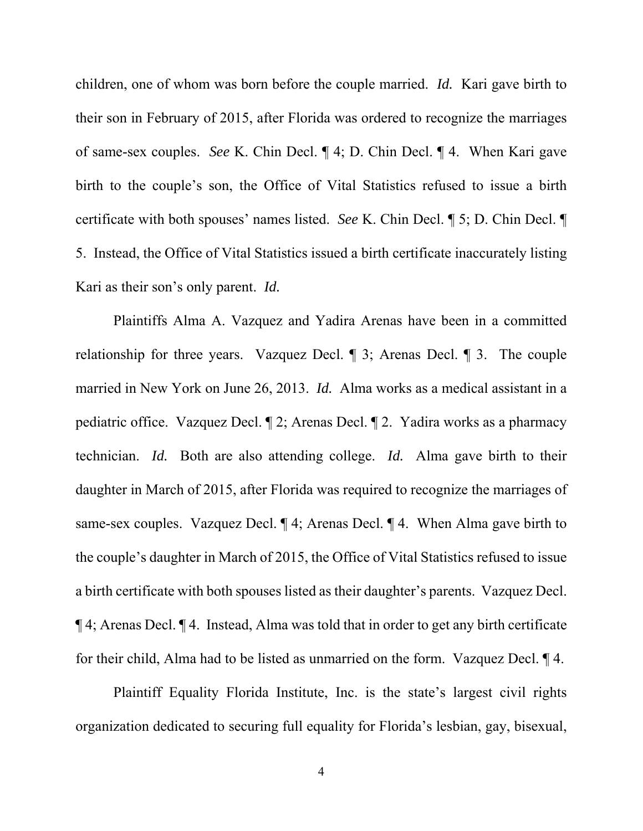children, one of whom was born before the couple married. *Id.* Kari gave birth to their son in February of 2015, after Florida was ordered to recognize the marriages of same-sex couples. *See* K. Chin Decl. ¶ 4; D. Chin Decl. ¶ 4. When Kari gave birth to the couple's son, the Office of Vital Statistics refused to issue a birth certificate with both spouses' names listed. *See* K. Chin Decl. ¶ 5; D. Chin Decl. ¶ 5. Instead, the Office of Vital Statistics issued a birth certificate inaccurately listing Kari as their son's only parent. *Id.*

Plaintiffs Alma A. Vazquez and Yadira Arenas have been in a committed relationship for three years. Vazquez Decl. ¶ 3; Arenas Decl. ¶ 3. The couple married in New York on June 26, 2013. *Id.* Alma works as a medical assistant in a pediatric office. Vazquez Decl. ¶ 2; Arenas Decl. ¶ 2. Yadira works as a pharmacy technician. *Id.* Both are also attending college. *Id.* Alma gave birth to their daughter in March of 2015, after Florida was required to recognize the marriages of same-sex couples. Vazquez Decl.  $\P$  4; Arenas Decl.  $\P$  4. When Alma gave birth to the couple's daughter in March of 2015, the Office of Vital Statistics refused to issue a birth certificate with both spouses listed as their daughter's parents. Vazquez Decl. ¶ 4; Arenas Decl. ¶ 4. Instead, Alma was told that in order to get any birth certificate for their child, Alma had to be listed as unmarried on the form. Vazquez Decl. ¶ 4.

Plaintiff Equality Florida Institute, Inc. is the state's largest civil rights organization dedicated to securing full equality for Florida's lesbian, gay, bisexual,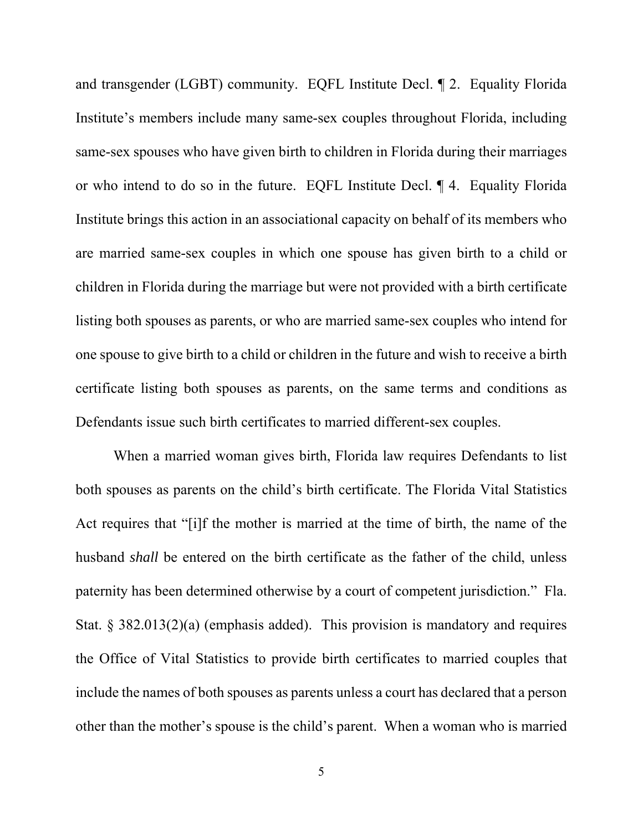and transgender (LGBT) community. EQFL Institute Decl. ¶ 2. Equality Florida Institute's members include many same-sex couples throughout Florida, including same-sex spouses who have given birth to children in Florida during their marriages or who intend to do so in the future. EQFL Institute Decl. ¶ 4. Equality Florida Institute brings this action in an associational capacity on behalf of its members who are married same-sex couples in which one spouse has given birth to a child or children in Florida during the marriage but were not provided with a birth certificate listing both spouses as parents, or who are married same-sex couples who intend for one spouse to give birth to a child or children in the future and wish to receive a birth certificate listing both spouses as parents, on the same terms and conditions as Defendants issue such birth certificates to married different-sex couples.

When a married woman gives birth, Florida law requires Defendants to list both spouses as parents on the child's birth certificate. The Florida Vital Statistics Act requires that "[i]f the mother is married at the time of birth, the name of the husband *shall* be entered on the birth certificate as the father of the child, unless paternity has been determined otherwise by a court of competent jurisdiction." Fla. Stat. § 382.013(2)(a) (emphasis added). This provision is mandatory and requires the Office of Vital Statistics to provide birth certificates to married couples that include the names of both spouses as parents unless a court has declared that a person other than the mother's spouse is the child's parent. When a woman who is married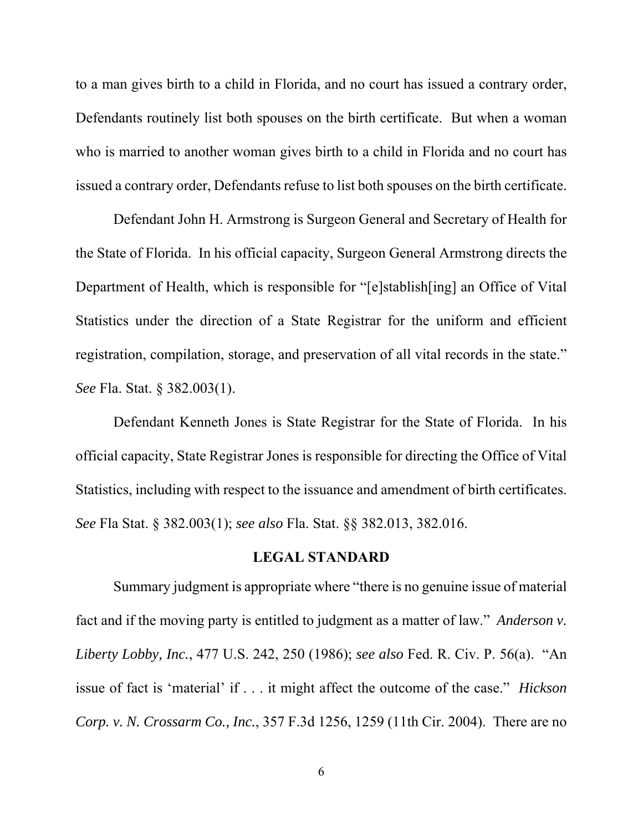to a man gives birth to a child in Florida, and no court has issued a contrary order, Defendants routinely list both spouses on the birth certificate. But when a woman who is married to another woman gives birth to a child in Florida and no court has issued a contrary order, Defendants refuse to list both spouses on the birth certificate.

Defendant John H. Armstrong is Surgeon General and Secretary of Health for the State of Florida. In his official capacity, Surgeon General Armstrong directs the Department of Health, which is responsible for "[e]stablish[ing] an Office of Vital Statistics under the direction of a State Registrar for the uniform and efficient registration, compilation, storage, and preservation of all vital records in the state." *See* Fla. Stat. § 382.003(1).

Defendant Kenneth Jones is State Registrar for the State of Florida. In his official capacity, State Registrar Jones is responsible for directing the Office of Vital Statistics, including with respect to the issuance and amendment of birth certificates. *See* Fla Stat. § 382.003(1); *see also* Fla. Stat. §§ 382.013, 382.016.

#### **LEGAL STANDARD**

Summary judgment is appropriate where "there is no genuine issue of material fact and if the moving party is entitled to judgment as a matter of law." *Anderson v. Liberty Lobby, Inc.*, 477 U.S. 242, 250 (1986); *see also* Fed. R. Civ. P. 56(a). "An issue of fact is 'material' if . . . it might affect the outcome of the case." *Hickson Corp. v. N. Crossarm Co., Inc.*, 357 F.3d 1256, 1259 (11th Cir. 2004). There are no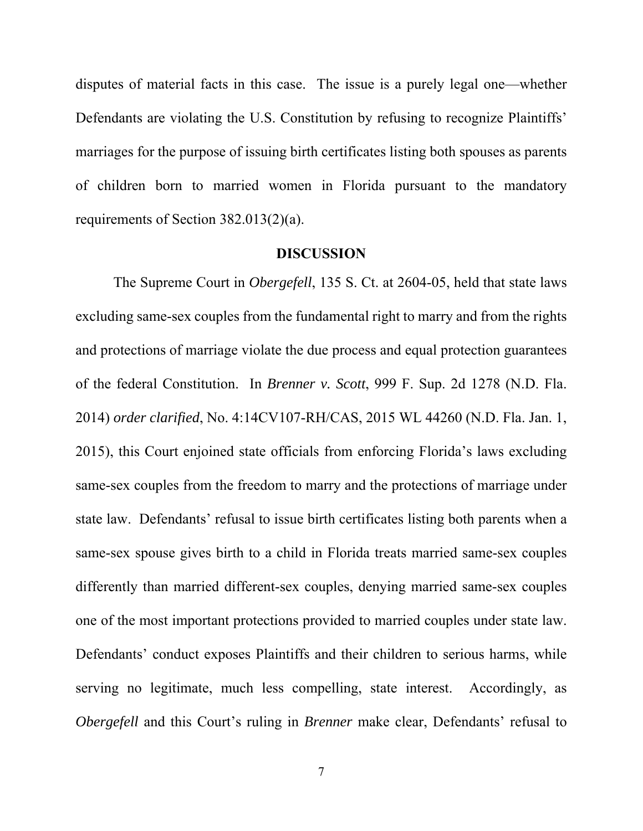disputes of material facts in this case. The issue is a purely legal one—whether Defendants are violating the U.S. Constitution by refusing to recognize Plaintiffs' marriages for the purpose of issuing birth certificates listing both spouses as parents of children born to married women in Florida pursuant to the mandatory requirements of Section 382.013(2)(a).

#### **DISCUSSION**

The Supreme Court in *Obergefell*, 135 S. Ct. at 2604-05, held that state laws excluding same-sex couples from the fundamental right to marry and from the rights and protections of marriage violate the due process and equal protection guarantees of the federal Constitution. In *Brenner v. Scott*, 999 F. Sup. 2d 1278 (N.D. Fla. 2014) *order clarified*, No. 4:14CV107-RH/CAS, 2015 WL 44260 (N.D. Fla. Jan. 1, 2015), this Court enjoined state officials from enforcing Florida's laws excluding same-sex couples from the freedom to marry and the protections of marriage under state law. Defendants' refusal to issue birth certificates listing both parents when a same-sex spouse gives birth to a child in Florida treats married same-sex couples differently than married different-sex couples, denying married same-sex couples one of the most important protections provided to married couples under state law. Defendants' conduct exposes Plaintiffs and their children to serious harms, while serving no legitimate, much less compelling, state interest. Accordingly, as *Obergefell* and this Court's ruling in *Brenner* make clear, Defendants' refusal to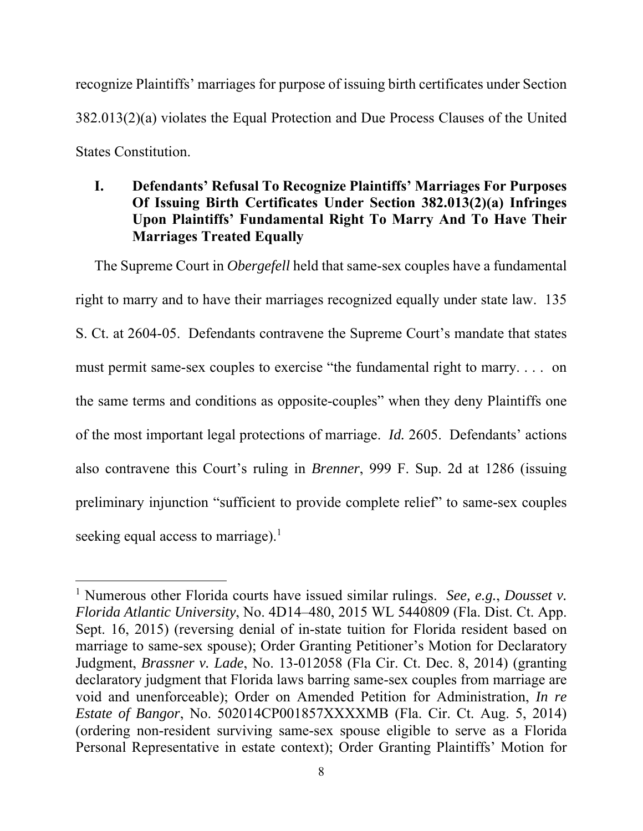recognize Plaintiffs' marriages for purpose of issuing birth certificates under Section 382.013(2)(a) violates the Equal Protection and Due Process Clauses of the United States Constitution.

# **I. Defendants' Refusal To Recognize Plaintiffs' Marriages For Purposes Of Issuing Birth Certificates Under Section 382.013(2)(a) Infringes Upon Plaintiffs' Fundamental Right To Marry And To Have Their Marriages Treated Equally**

The Supreme Court in *Obergefell* held that same-sex couples have a fundamental right to marry and to have their marriages recognized equally under state law. 135 S. Ct. at 2604-05. Defendants contravene the Supreme Court's mandate that states must permit same-sex couples to exercise "the fundamental right to marry. . . . on the same terms and conditions as opposite-couples" when they deny Plaintiffs one of the most important legal protections of marriage. *Id.* 2605. Defendants' actions also contravene this Court's ruling in *Brenner*, 999 F. Sup. 2d at 1286 (issuing preliminary injunction "sufficient to provide complete relief" to same-sex couples seeking equal access to marriage).<sup>1</sup>

<sup>1</sup> Numerous other Florida courts have issued similar rulings. *See, e.g.*, *Dousset v. Florida Atlantic University*, No. 4D14–480, 2015 WL 5440809 (Fla. Dist. Ct. App. Sept. 16, 2015) (reversing denial of in-state tuition for Florida resident based on marriage to same-sex spouse); Order Granting Petitioner's Motion for Declaratory Judgment, *Brassner v. Lade*, No. 13-012058 (Fla Cir. Ct. Dec. 8, 2014) (granting declaratory judgment that Florida laws barring same-sex couples from marriage are void and unenforceable); Order on Amended Petition for Administration, *In re Estate of Bangor*, No. 502014CP001857XXXXMB (Fla. Cir. Ct. Aug. 5, 2014) (ordering non-resident surviving same-sex spouse eligible to serve as a Florida Personal Representative in estate context); Order Granting Plaintiffs' Motion for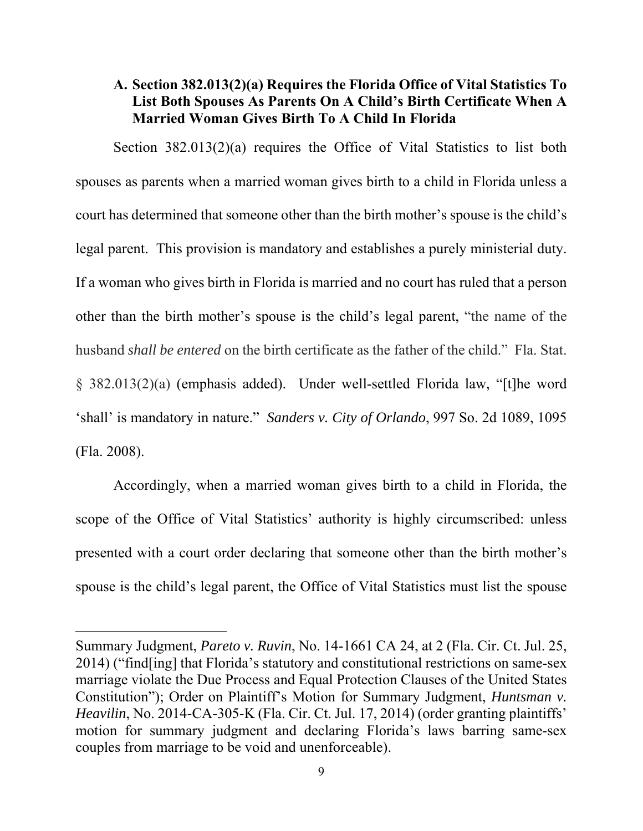### **A. Section 382.013(2)(a) Requires the Florida Office of Vital Statistics To List Both Spouses As Parents On A Child's Birth Certificate When A Married Woman Gives Birth To A Child In Florida**

Section 382.013(2)(a) requires the Office of Vital Statistics to list both spouses as parents when a married woman gives birth to a child in Florida unless a court has determined that someone other than the birth mother's spouse is the child's legal parent. This provision is mandatory and establishes a purely ministerial duty. If a woman who gives birth in Florida is married and no court has ruled that a person other than the birth mother's spouse is the child's legal parent, "the name of the husband *shall be entered* on the birth certificate as the father of the child." Fla. Stat. § 382.013(2)(a) (emphasis added). Under well-settled Florida law, "[t]he word 'shall' is mandatory in nature." *Sanders v. City of Orlando*, 997 So. 2d 1089, 1095 (Fla. 2008).

Accordingly, when a married woman gives birth to a child in Florida, the scope of the Office of Vital Statistics' authority is highly circumscribed: unless presented with a court order declaring that someone other than the birth mother's spouse is the child's legal parent, the Office of Vital Statistics must list the spouse

Summary Judgment, *Pareto v. Ruvin*, No. 14-1661 CA 24, at 2 (Fla. Cir. Ct. Jul. 25, 2014) ("find[ing] that Florida's statutory and constitutional restrictions on same-sex marriage violate the Due Process and Equal Protection Clauses of the United States Constitution"); Order on Plaintiff's Motion for Summary Judgment, *Huntsman v. Heavilin*, No. 2014-CA-305-K (Fla. Cir. Ct. Jul. 17, 2014) (order granting plaintiffs' motion for summary judgment and declaring Florida's laws barring same-sex couples from marriage to be void and unenforceable).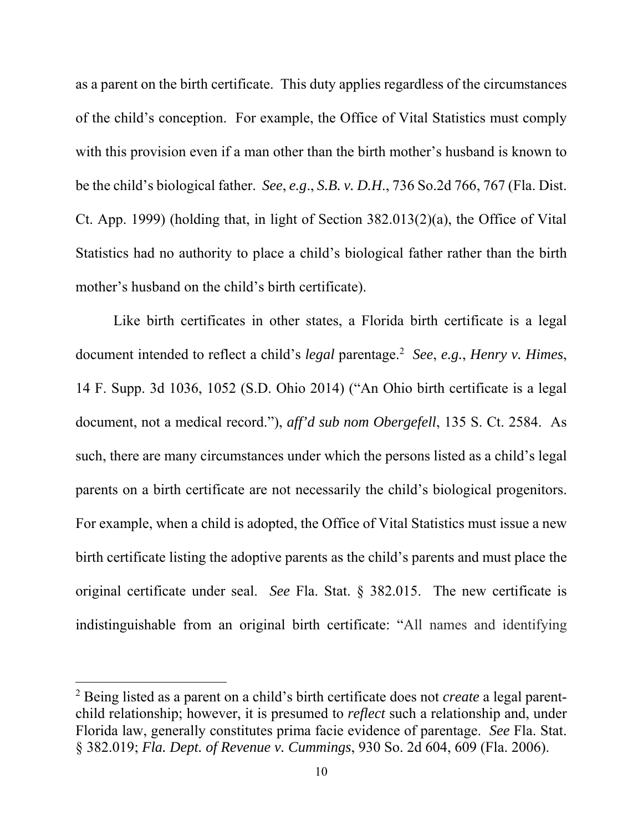as a parent on the birth certificate. This duty applies regardless of the circumstances of the child's conception. For example, the Office of Vital Statistics must comply with this provision even if a man other than the birth mother's husband is known to be the child's biological father. *See*, *e.g*., *S.B. v. D.H*., 736 So.2d 766, 767 (Fla. Dist. Ct. App. 1999) (holding that, in light of Section 382.013(2)(a), the Office of Vital Statistics had no authority to place a child's biological father rather than the birth mother's husband on the child's birth certificate).

Like birth certificates in other states, a Florida birth certificate is a legal document intended to reflect a child's *legal* parentage.2 *See*, *e.g.*, *Henry v. Himes*, 14 F. Supp. 3d 1036, 1052 (S.D. Ohio 2014) ("An Ohio birth certificate is a legal document, not a medical record."), *aff'd sub nom Obergefell*, 135 S. Ct. 2584. As such, there are many circumstances under which the persons listed as a child's legal parents on a birth certificate are not necessarily the child's biological progenitors. For example, when a child is adopted, the Office of Vital Statistics must issue a new birth certificate listing the adoptive parents as the child's parents and must place the original certificate under seal. *See* Fla. Stat. § 382.015. The new certificate is indistinguishable from an original birth certificate: "All names and identifying

<sup>2</sup> Being listed as a parent on a child's birth certificate does not *create* a legal parentchild relationship; however, it is presumed to *reflect* such a relationship and, under Florida law, generally constitutes prima facie evidence of parentage. *See* Fla. Stat. § 382.019; *Fla. Dept. of Revenue v. Cummings*, 930 So. 2d 604, 609 (Fla. 2006).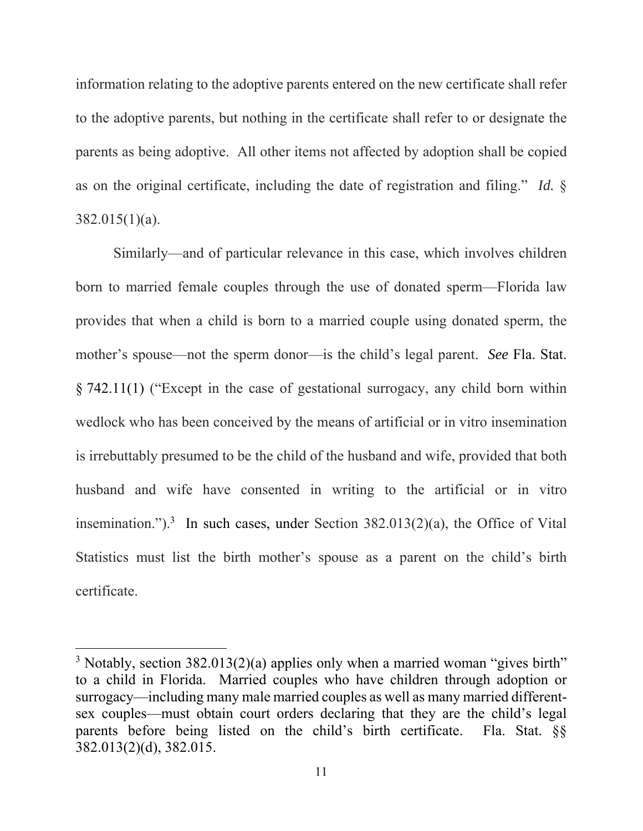information relating to the adoptive parents entered on the new certificate shall refer to the adoptive parents, but nothing in the certificate shall refer to or designate the parents as being adoptive. All other items not affected by adoption shall be copied as on the original certificate, including the date of registration and filing." *Id.* § 382.015(1)(a).

Similarly—and of particular relevance in this case, which involves children born to married female couples through the use of donated sperm—Florida law provides that when a child is born to a married couple using donated sperm, the mother's spouse—not the sperm donor—is the child's legal parent. *See* Fla. Stat. § 742.11(1) ("Except in the case of gestational surrogacy, any child born within wedlock who has been conceived by the means of artificial or in vitro insemination is irrebuttably presumed to be the child of the husband and wife, provided that both husband and wife have consented in writing to the artificial or in vitro insemination.").<sup>3</sup> In such cases, under Section  $382.013(2)(a)$ , the Office of Vital Statistics must list the birth mother's spouse as a parent on the child's birth certificate.

<sup>&</sup>lt;sup>3</sup> Notably, section 382.013(2)(a) applies only when a married woman "gives birth" to a child in Florida. Married couples who have children through adoption or surrogacy—including many male married couples as well as many married differentsex couples—must obtain court orders declaring that they are the child's legal parents before being listed on the child's birth certificate. Fla. Stat. §§ 382.013(2)(d), 382.015.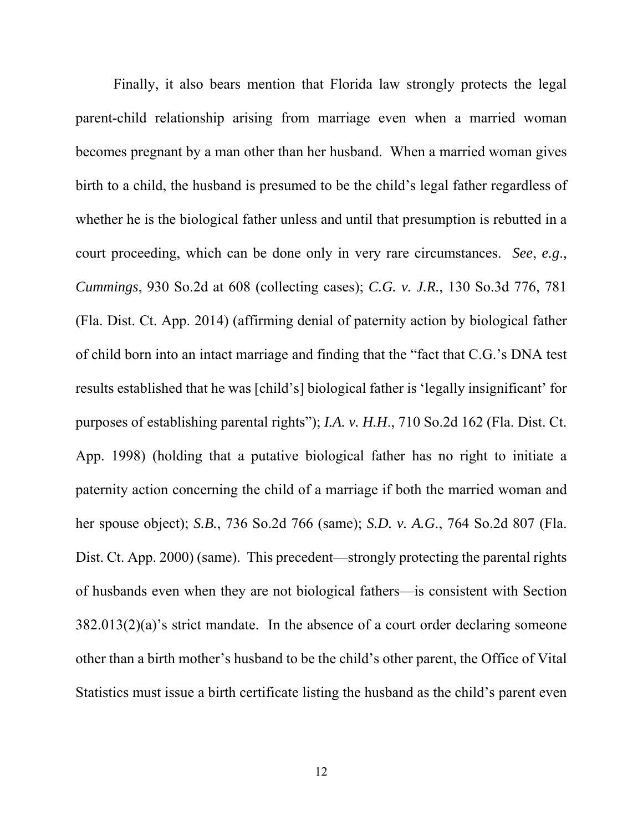Finally, it also bears mention that Florida law strongly protects the legal parent-child relationship arising from marriage even when a married woman becomes pregnant by a man other than her husband. When a married woman gives birth to a child, the husband is presumed to be the child's legal father regardless of whether he is the biological father unless and until that presumption is rebutted in a court proceeding, which can be done only in very rare circumstances. *See*, *e.g*., *Cummings*, 930 So.2d at 608 (collecting cases); *C.G. v. J.R.*, 130 So.3d 776, 781 (Fla. Dist. Ct. App. 2014) (affirming denial of paternity action by biological father of child born into an intact marriage and finding that the "fact that C.G.'s DNA test results established that he was [child's] biological father is 'legally insignificant' for purposes of establishing parental rights"); *I.A. v. H.H*., 710 So.2d 162 (Fla. Dist. Ct. App. 1998) (holding that a putative biological father has no right to initiate a paternity action concerning the child of a marriage if both the married woman and her spouse object); *S.B.*, 736 So.2d 766 (same); *S.D. v. A.G*., 764 So.2d 807 (Fla. Dist. Ct. App. 2000) (same). This precedent—strongly protecting the parental rights of husbands even when they are not biological fathers—is consistent with Section 382.013(2)(a)'s strict mandate. In the absence of a court order declaring someone other than a birth mother's husband to be the child's other parent, the Office of Vital Statistics must issue a birth certificate listing the husband as the child's parent even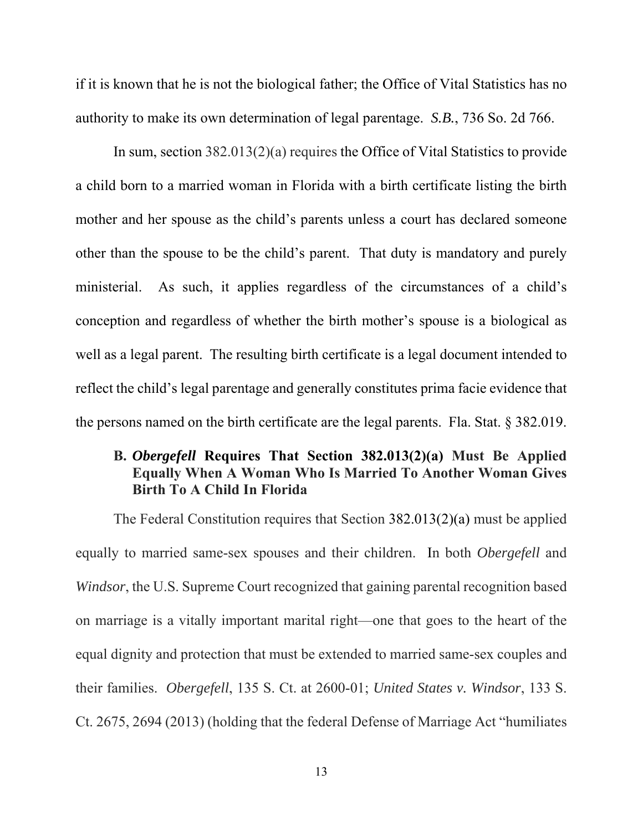if it is known that he is not the biological father; the Office of Vital Statistics has no authority to make its own determination of legal parentage. *S.B.*, 736 So. 2d 766.

In sum, section 382.013(2)(a) requires the Office of Vital Statistics to provide a child born to a married woman in Florida with a birth certificate listing the birth mother and her spouse as the child's parents unless a court has declared someone other than the spouse to be the child's parent. That duty is mandatory and purely ministerial. As such, it applies regardless of the circumstances of a child's conception and regardless of whether the birth mother's spouse is a biological as well as a legal parent. The resulting birth certificate is a legal document intended to reflect the child's legal parentage and generally constitutes prima facie evidence that the persons named on the birth certificate are the legal parents. Fla. Stat. § 382.019.

## **B.** *Obergefell* **Requires That Section 382.013(2)(a) Must Be Applied Equally When A Woman Who Is Married To Another Woman Gives Birth To A Child In Florida**

The Federal Constitution requires that Section 382.013(2)(a) must be applied equally to married same-sex spouses and their children. In both *Obergefell* and *Windsor*, the U.S. Supreme Court recognized that gaining parental recognition based on marriage is a vitally important marital right—one that goes to the heart of the equal dignity and protection that must be extended to married same-sex couples and their families. *Obergefell*, 135 S. Ct. at 2600-01; *United States v. Windsor*, 133 S. Ct. 2675, 2694 (2013) (holding that the federal Defense of Marriage Act "humiliates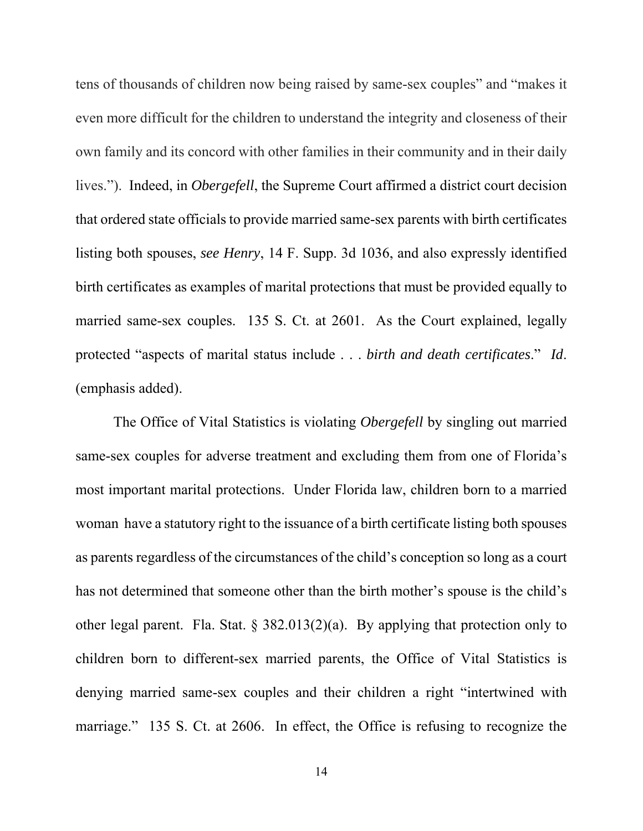tens of thousands of children now being raised by same-sex couples" and "makes it even more difficult for the children to understand the integrity and closeness of their own family and its concord with other families in their community and in their daily lives."). Indeed, in *Obergefell*, the Supreme Court affirmed a district court decision that ordered state officials to provide married same-sex parents with birth certificates listing both spouses, *see Henry*, 14 F. Supp. 3d 1036, and also expressly identified birth certificates as examples of marital protections that must be provided equally to married same-sex couples. 135 S. Ct. at 2601. As the Court explained, legally protected "aspects of marital status include . . . *birth and death certificates*." *Id*. (emphasis added).

The Office of Vital Statistics is violating *Obergefell* by singling out married same-sex couples for adverse treatment and excluding them from one of Florida's most important marital protections. Under Florida law, children born to a married woman have a statutory right to the issuance of a birth certificate listing both spouses as parents regardless of the circumstances of the child's conception so long as a court has not determined that someone other than the birth mother's spouse is the child's other legal parent. Fla. Stat. § 382.013(2)(a). By applying that protection only to children born to different-sex married parents, the Office of Vital Statistics is denying married same-sex couples and their children a right "intertwined with marriage." 135 S. Ct. at 2606. In effect, the Office is refusing to recognize the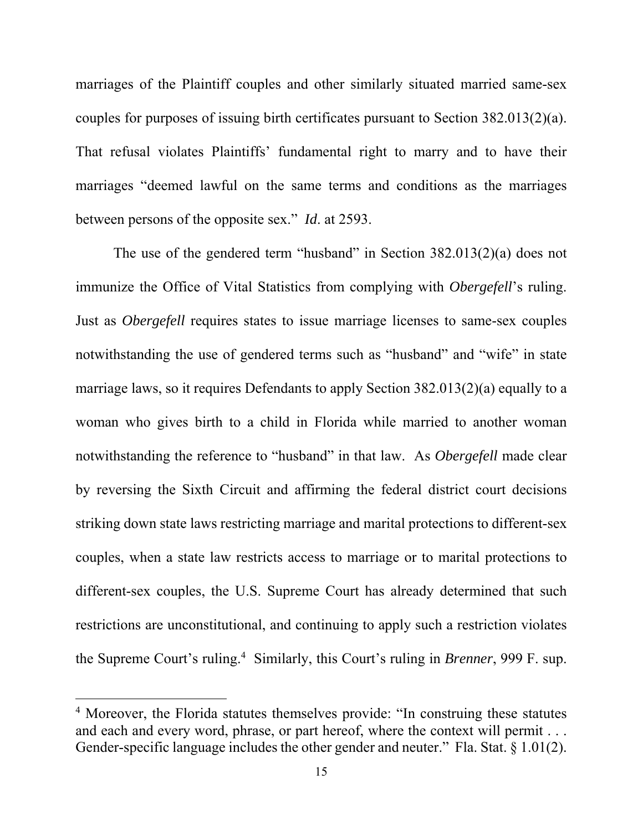marriages of the Plaintiff couples and other similarly situated married same-sex couples for purposes of issuing birth certificates pursuant to Section 382.013(2)(a). That refusal violates Plaintiffs' fundamental right to marry and to have their marriages "deemed lawful on the same terms and conditions as the marriages between persons of the opposite sex." *Id*. at 2593.

The use of the gendered term "husband" in Section 382.013(2)(a) does not immunize the Office of Vital Statistics from complying with *Obergefell*'s ruling. Just as *Obergefell* requires states to issue marriage licenses to same-sex couples notwithstanding the use of gendered terms such as "husband" and "wife" in state marriage laws, so it requires Defendants to apply Section 382.013(2)(a) equally to a woman who gives birth to a child in Florida while married to another woman notwithstanding the reference to "husband" in that law. As *Obergefell* made clear by reversing the Sixth Circuit and affirming the federal district court decisions striking down state laws restricting marriage and marital protections to different-sex couples, when a state law restricts access to marriage or to marital protections to different-sex couples, the U.S. Supreme Court has already determined that such restrictions are unconstitutional, and continuing to apply such a restriction violates the Supreme Court's ruling.4 Similarly, this Court's ruling in *Brenner*, 999 F. sup.

<sup>&</sup>lt;sup>4</sup> Moreover, the Florida statutes themselves provide: "In construing these statutes and each and every word, phrase, or part hereof, where the context will permit . . . Gender-specific language includes the other gender and neuter." Fla. Stat. § 1.01(2).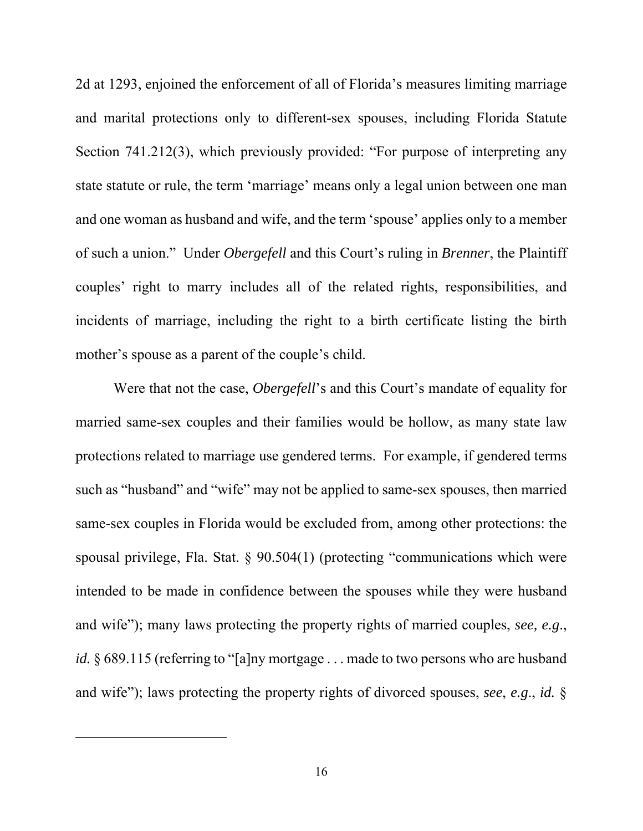2d at 1293, enjoined the enforcement of all of Florida's measures limiting marriage and marital protections only to different-sex spouses, including Florida Statute Section 741.212(3), which previously provided: "For purpose of interpreting any state statute or rule, the term 'marriage' means only a legal union between one man and one woman as husband and wife, and the term 'spouse' applies only to a member of such a union." Under *Obergefell* and this Court's ruling in *Brenner*, the Plaintiff couples' right to marry includes all of the related rights, responsibilities, and incidents of marriage, including the right to a birth certificate listing the birth mother's spouse as a parent of the couple's child.

Were that not the case, *Obergefell*'s and this Court's mandate of equality for married same-sex couples and their families would be hollow, as many state law protections related to marriage use gendered terms. For example, if gendered terms such as "husband" and "wife" may not be applied to same-sex spouses, then married same-sex couples in Florida would be excluded from, among other protections: the spousal privilege, Fla. Stat. § 90.504(1) (protecting "communications which were intended to be made in confidence between the spouses while they were husband and wife"); many laws protecting the property rights of married couples, *see, e.g*., *id.* § 689.115 (referring to "[a]ny mortgage . . . made to two persons who are husband and wife"); laws protecting the property rights of divorced spouses, *see*, *e.g*., *id.* §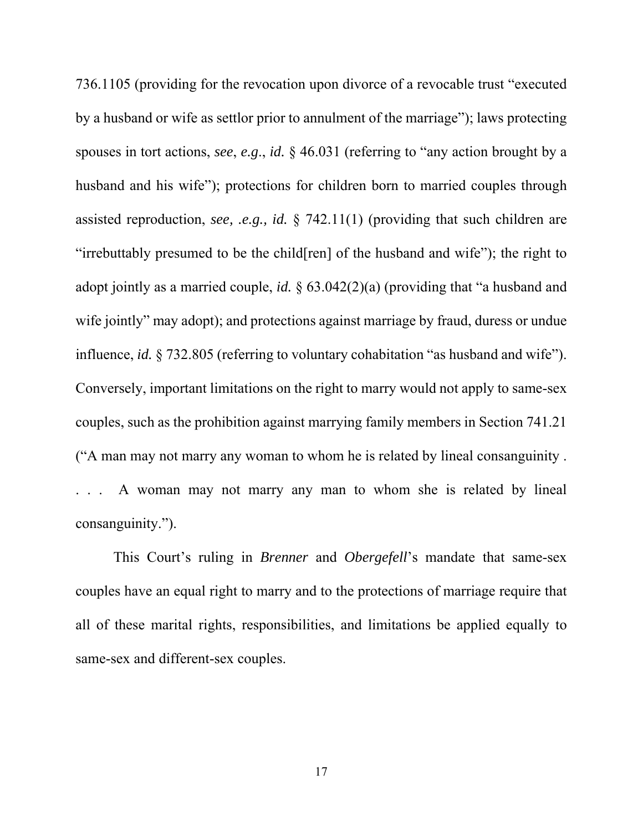736.1105 (providing for the revocation upon divorce of a revocable trust "executed by a husband or wife as settlor prior to annulment of the marriage"); laws protecting spouses in tort actions, *see*, *e.g*., *id.* § 46.031 (referring to "any action brought by a husband and his wife"); protections for children born to married couples through assisted reproduction, *see, .e.g., id.* § 742.11(1) (providing that such children are "irrebuttably presumed to be the child[ren] of the husband and wife"); the right to adopt jointly as a married couple, *id.* § 63.042(2)(a) (providing that "a husband and wife jointly" may adopt); and protections against marriage by fraud, duress or undue influence, *id.* § 732.805 (referring to voluntary cohabitation "as husband and wife"). Conversely, important limitations on the right to marry would not apply to same-sex couples, such as the prohibition against marrying family members in Section 741.21 ("A man may not marry any woman to whom he is related by lineal consanguinity . . . . A woman may not marry any man to whom she is related by lineal consanguinity.").

This Court's ruling in *Brenner* and *Obergefell*'s mandate that same-sex couples have an equal right to marry and to the protections of marriage require that all of these marital rights, responsibilities, and limitations be applied equally to same-sex and different-sex couples.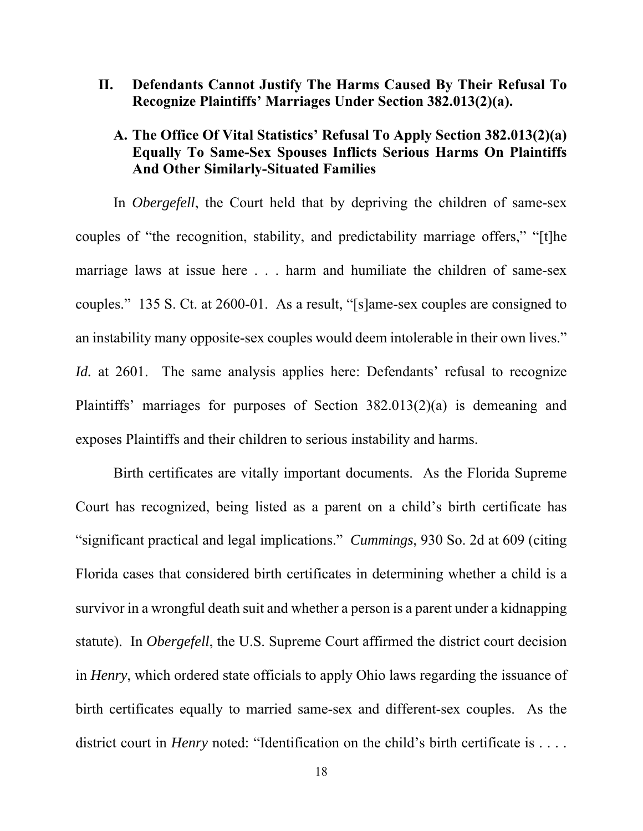**II. Defendants Cannot Justify The Harms Caused By Their Refusal To Recognize Plaintiffs' Marriages Under Section 382.013(2)(a).** 

## **A. The Office Of Vital Statistics' Refusal To Apply Section 382.013(2)(a) Equally To Same-Sex Spouses Inflicts Serious Harms On Plaintiffs And Other Similarly-Situated Families**

In *Obergefell*, the Court held that by depriving the children of same-sex couples of "the recognition, stability, and predictability marriage offers," "[t]he marriage laws at issue here . . . harm and humiliate the children of same-sex couples." 135 S. Ct. at 2600-01. As a result, "[s]ame-sex couples are consigned to an instability many opposite-sex couples would deem intolerable in their own lives." *Id.* at 2601. The same analysis applies here: Defendants' refusal to recognize Plaintiffs' marriages for purposes of Section 382.013(2)(a) is demeaning and exposes Plaintiffs and their children to serious instability and harms.

Birth certificates are vitally important documents. As the Florida Supreme Court has recognized, being listed as a parent on a child's birth certificate has "significant practical and legal implications." *Cummings*, 930 So. 2d at 609 (citing Florida cases that considered birth certificates in determining whether a child is a survivor in a wrongful death suit and whether a person is a parent under a kidnapping statute). In *Obergefell*, the U.S. Supreme Court affirmed the district court decision in *Henry*, which ordered state officials to apply Ohio laws regarding the issuance of birth certificates equally to married same-sex and different-sex couples. As the district court in *Henry* noted: "Identification on the child's birth certificate is . . . .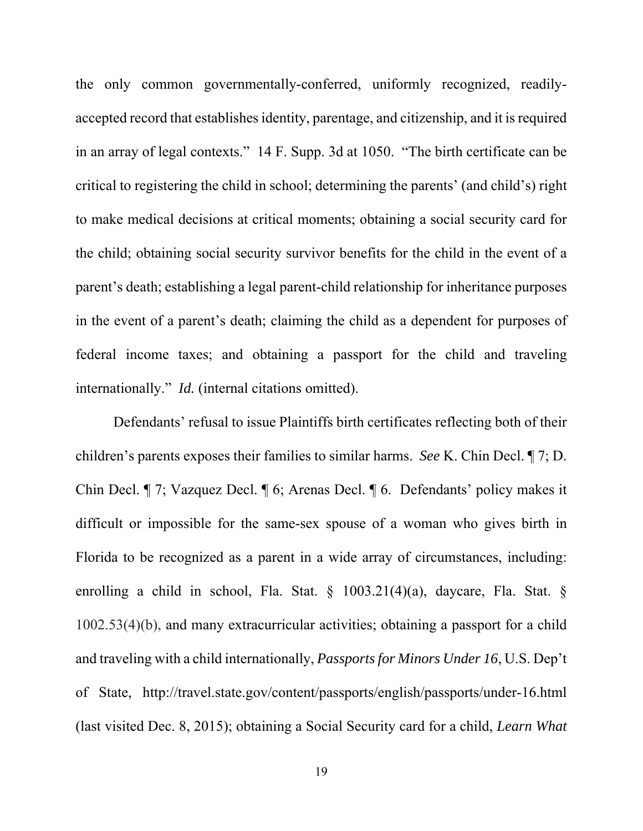the only common governmentally-conferred, uniformly recognized, readilyaccepted record that establishes identity, parentage, and citizenship, and it is required in an array of legal contexts." 14 F. Supp. 3d at 1050. "The birth certificate can be critical to registering the child in school; determining the parents' (and child's) right to make medical decisions at critical moments; obtaining a social security card for the child; obtaining social security survivor benefits for the child in the event of a parent's death; establishing a legal parent-child relationship for inheritance purposes in the event of a parent's death; claiming the child as a dependent for purposes of federal income taxes; and obtaining a passport for the child and traveling internationally." *Id.* (internal citations omitted).

Defendants' refusal to issue Plaintiffs birth certificates reflecting both of their children's parents exposes their families to similar harms. *See* K. Chin Decl. ¶ 7; D. Chin Decl. ¶ 7; Vazquez Decl. ¶ 6; Arenas Decl. ¶ 6. Defendants' policy makes it difficult or impossible for the same-sex spouse of a woman who gives birth in Florida to be recognized as a parent in a wide array of circumstances, including: enrolling a child in school, Fla. Stat. § 1003.21(4)(a), daycare, Fla. Stat. § 1002.53(4)(b), and many extracurricular activities; obtaining a passport for a child and traveling with a child internationally, *Passports for Minors Under 16*, U.S. Dep't of State, http://travel.state.gov/content/passports/english/passports/under-16.html (last visited Dec. 8, 2015); obtaining a Social Security card for a child, *Learn What*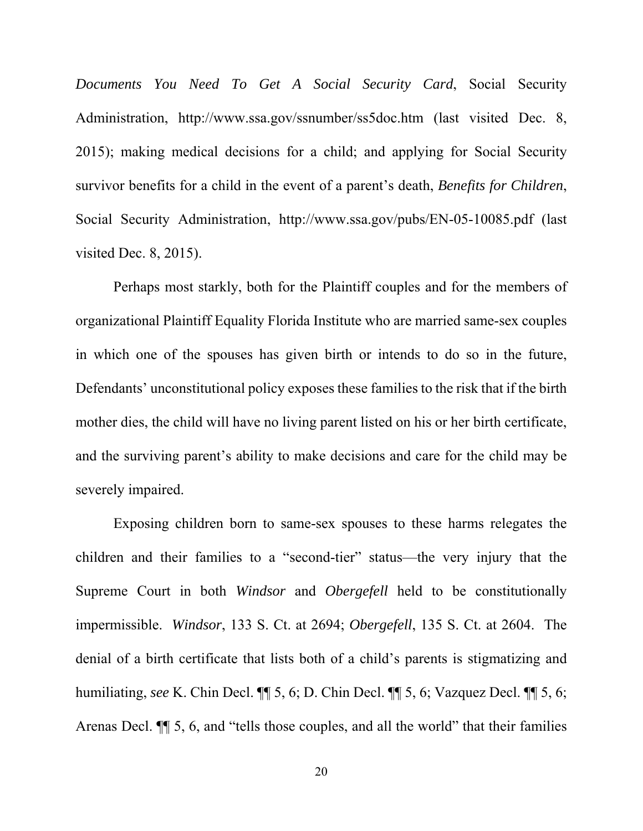*Documents You Need To Get A Social Security Card*, Social Security Administration, http://www.ssa.gov/ssnumber/ss5doc.htm (last visited Dec. 8, 2015); making medical decisions for a child; and applying for Social Security survivor benefits for a child in the event of a parent's death, *Benefits for Children*, Social Security Administration, http://www.ssa.gov/pubs/EN-05-10085.pdf (last visited Dec. 8, 2015).

Perhaps most starkly, both for the Plaintiff couples and for the members of organizational Plaintiff Equality Florida Institute who are married same-sex couples in which one of the spouses has given birth or intends to do so in the future, Defendants' unconstitutional policy exposes these families to the risk that if the birth mother dies, the child will have no living parent listed on his or her birth certificate, and the surviving parent's ability to make decisions and care for the child may be severely impaired.

Exposing children born to same-sex spouses to these harms relegates the children and their families to a "second-tier" status—the very injury that the Supreme Court in both *Windsor* and *Obergefell* held to be constitutionally impermissible. *Windsor*, 133 S. Ct. at 2694; *Obergefell*, 135 S. Ct. at 2604. The denial of a birth certificate that lists both of a child's parents is stigmatizing and humiliating, *see* K. Chin Decl. ¶¶ 5, 6; D. Chin Decl. ¶¶ 5, 6; Vazquez Decl. ¶¶ 5, 6; Arenas Decl. ¶¶ 5, 6, and "tells those couples, and all the world" that their families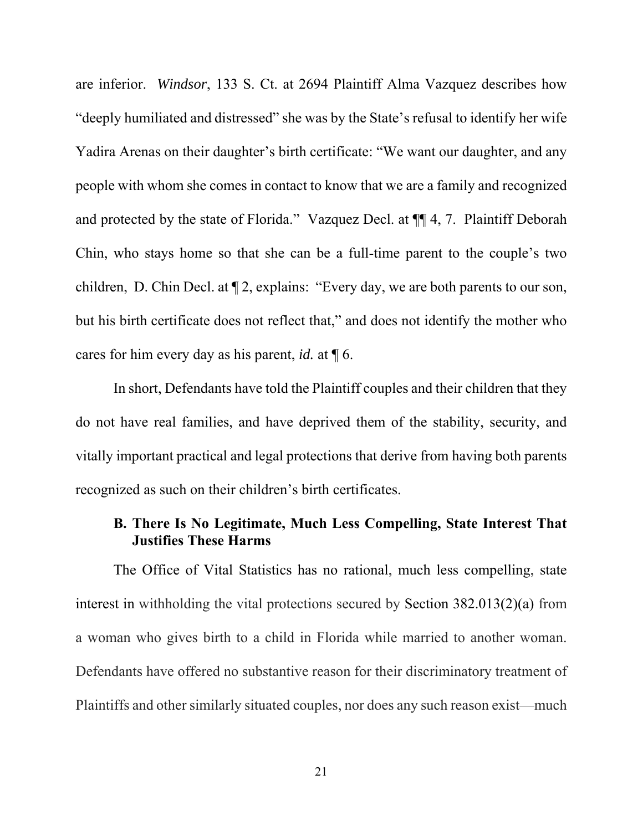are inferior. *Windsor*, 133 S. Ct. at 2694 Plaintiff Alma Vazquez describes how "deeply humiliated and distressed" she was by the State's refusal to identify her wife Yadira Arenas on their daughter's birth certificate: "We want our daughter, and any people with whom she comes in contact to know that we are a family and recognized and protected by the state of Florida." Vazquez Decl. at ¶¶ 4, 7. Plaintiff Deborah Chin, who stays home so that she can be a full-time parent to the couple's two children, D. Chin Decl. at ¶ 2, explains: "Every day, we are both parents to our son, but his birth certificate does not reflect that," and does not identify the mother who cares for him every day as his parent, *id.* at ¶ 6.

In short, Defendants have told the Plaintiff couples and their children that they do not have real families, and have deprived them of the stability, security, and vitally important practical and legal protections that derive from having both parents recognized as such on their children's birth certificates.

#### **B. There Is No Legitimate, Much Less Compelling, State Interest That Justifies These Harms**

The Office of Vital Statistics has no rational, much less compelling, state interest in withholding the vital protections secured by Section 382.013(2)(a) from a woman who gives birth to a child in Florida while married to another woman. Defendants have offered no substantive reason for their discriminatory treatment of Plaintiffs and other similarly situated couples, nor does any such reason exist—much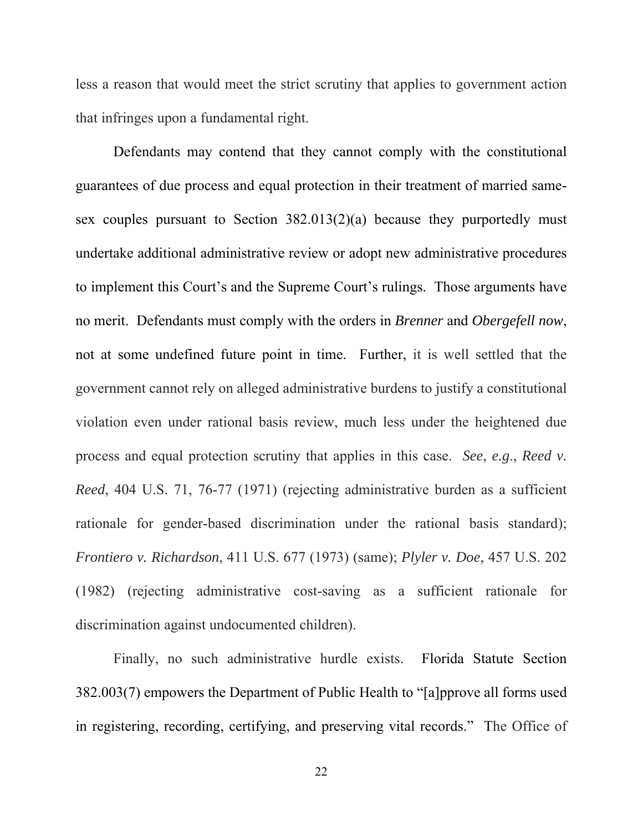less a reason that would meet the strict scrutiny that applies to government action that infringes upon a fundamental right.

Defendants may contend that they cannot comply with the constitutional guarantees of due process and equal protection in their treatment of married samesex couples pursuant to Section 382.013(2)(a) because they purportedly must undertake additional administrative review or adopt new administrative procedures to implement this Court's and the Supreme Court's rulings. Those arguments have no merit. Defendants must comply with the orders in *Brenner* and *Obergefell now*, not at some undefined future point in time. Further, it is well settled that the government cannot rely on alleged administrative burdens to justify a constitutional violation even under rational basis review, much less under the heightened due process and equal protection scrutiny that applies in this case. *See*, *e.g*., *Reed v. Reed*, 404 U.S. 71, 76-77 (1971) (rejecting administrative burden as a sufficient rationale for gender-based discrimination under the rational basis standard); *Frontiero v. Richardson*, 411 U.S. 677 (1973) (same); *Plyler v. Doe*, 457 U.S. 202 (1982) (rejecting administrative cost-saving as a sufficient rationale for discrimination against undocumented children).

Finally, no such administrative hurdle exists. Florida Statute Section 382.003(7) empowers the Department of Public Health to "[a]pprove all forms used in registering, recording, certifying, and preserving vital records." The Office of

22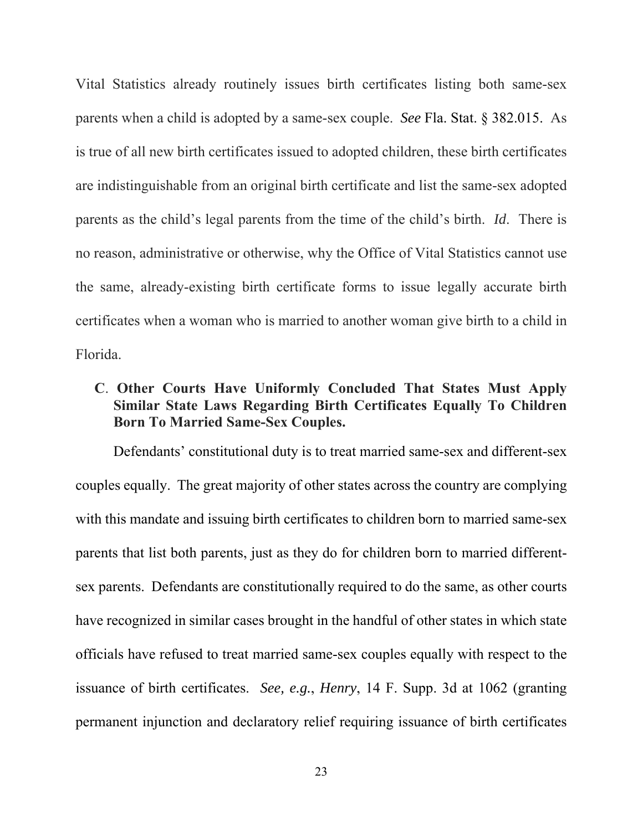Vital Statistics already routinely issues birth certificates listing both same-sex parents when a child is adopted by a same-sex couple. *See* Fla. Stat. § 382.015. As is true of all new birth certificates issued to adopted children, these birth certificates are indistinguishable from an original birth certificate and list the same-sex adopted parents as the child's legal parents from the time of the child's birth. *Id*. There is no reason, administrative or otherwise, why the Office of Vital Statistics cannot use the same, already-existing birth certificate forms to issue legally accurate birth certificates when a woman who is married to another woman give birth to a child in Florida.

# **C**. **Other Courts Have Uniformly Concluded That States Must Apply Similar State Laws Regarding Birth Certificates Equally To Children Born To Married Same-Sex Couples.**

Defendants' constitutional duty is to treat married same-sex and different-sex couples equally. The great majority of other states across the country are complying with this mandate and issuing birth certificates to children born to married same-sex parents that list both parents, just as they do for children born to married differentsex parents. Defendants are constitutionally required to do the same, as other courts have recognized in similar cases brought in the handful of other states in which state officials have refused to treat married same-sex couples equally with respect to the issuance of birth certificates. *See, e.g.*, *Henry*, 14 F. Supp. 3d at 1062 (granting permanent injunction and declaratory relief requiring issuance of birth certificates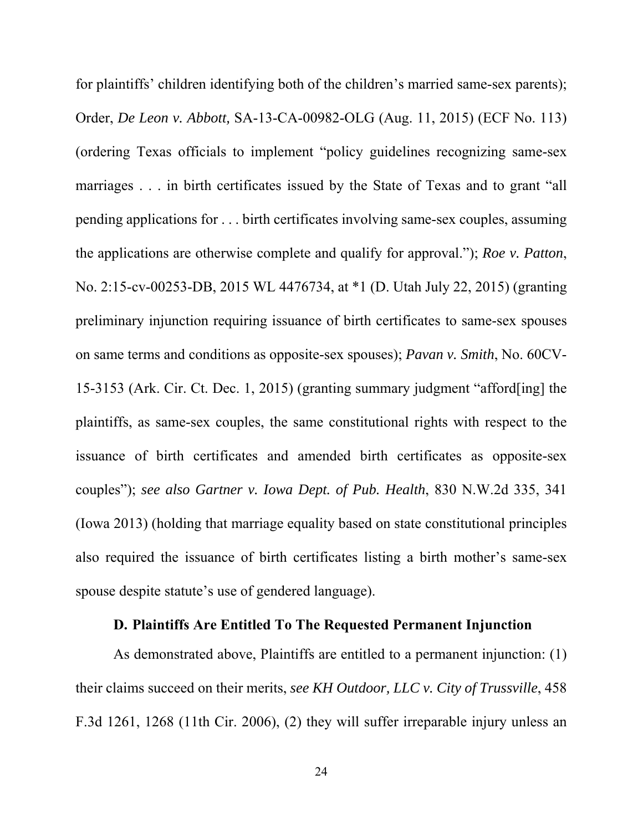for plaintiffs' children identifying both of the children's married same-sex parents); Order, *De Leon v. Abbott,* SA-13-CA-00982-OLG (Aug. 11, 2015) (ECF No. 113) (ordering Texas officials to implement "policy guidelines recognizing same-sex marriages . . . in birth certificates issued by the State of Texas and to grant "all pending applications for . . . birth certificates involving same-sex couples, assuming the applications are otherwise complete and qualify for approval."); *Roe v. Patton*, No. 2:15-cv-00253-DB, 2015 WL 4476734, at \*1 (D. Utah July 22, 2015) (granting preliminary injunction requiring issuance of birth certificates to same-sex spouses on same terms and conditions as opposite-sex spouses); *Pavan v. Smith*, No. 60CV-15-3153 (Ark. Cir. Ct. Dec. 1, 2015) (granting summary judgment "afford[ing] the plaintiffs, as same-sex couples, the same constitutional rights with respect to the issuance of birth certificates and amended birth certificates as opposite-sex couples"); *see also Gartner v. Iowa Dept. of Pub. Health*, 830 N.W.2d 335, 341 (Iowa 2013) (holding that marriage equality based on state constitutional principles also required the issuance of birth certificates listing a birth mother's same-sex spouse despite statute's use of gendered language).

#### **D. Plaintiffs Are Entitled To The Requested Permanent Injunction**

As demonstrated above, Plaintiffs are entitled to a permanent injunction: (1) their claims succeed on their merits, *see KH Outdoor, LLC v. City of Trussville*, 458 F.3d 1261, 1268 (11th Cir. 2006), (2) they will suffer irreparable injury unless an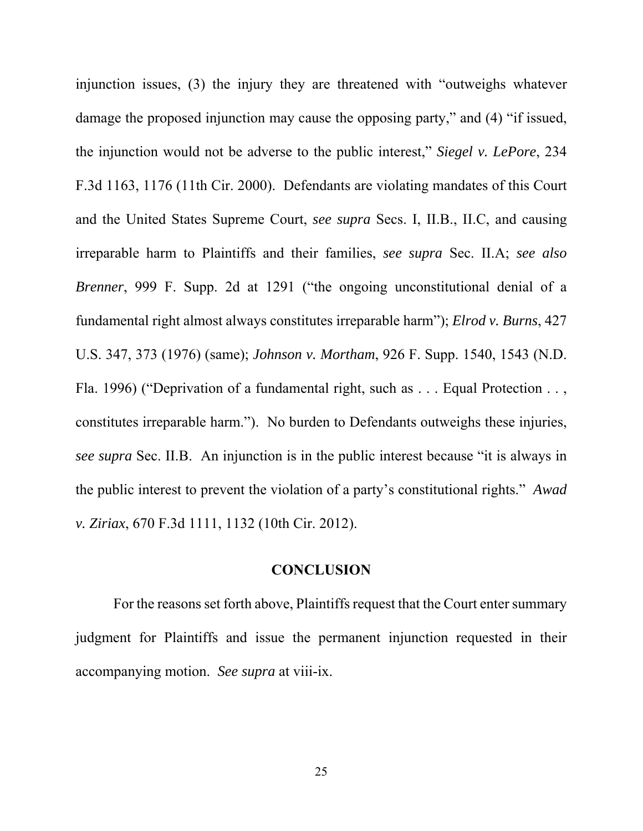injunction issues, (3) the injury they are threatened with "outweighs whatever damage the proposed injunction may cause the opposing party," and (4) "if issued, the injunction would not be adverse to the public interest," *Siegel v. LePore*, 234 F.3d 1163, 1176 (11th Cir. 2000). Defendants are violating mandates of this Court and the United States Supreme Court, *see supra* Secs. I, II.B., II.C, and causing irreparable harm to Plaintiffs and their families, *see supra* Sec. II.A; *see also Brenner*, 999 F. Supp. 2d at 1291 ("the ongoing unconstitutional denial of a fundamental right almost always constitutes irreparable harm"); *Elrod v. Burns*, 427 U.S. 347, 373 (1976) (same); *Johnson v. Mortham*, 926 F. Supp. 1540, 1543 (N.D. Fla. 1996) ("Deprivation of a fundamental right, such as . . . Equal Protection . . , constitutes irreparable harm."). No burden to Defendants outweighs these injuries, *see supra* Sec. II.B. An injunction is in the public interest because "it is always in the public interest to prevent the violation of a party's constitutional rights." *Awad v. Ziriax*, 670 F.3d 1111, 1132 (10th Cir. 2012).

#### **CONCLUSION**

For the reasons set forth above, Plaintiffs request that the Court enter summary judgment for Plaintiffs and issue the permanent injunction requested in their accompanying motion. *See supra* at viii-ix.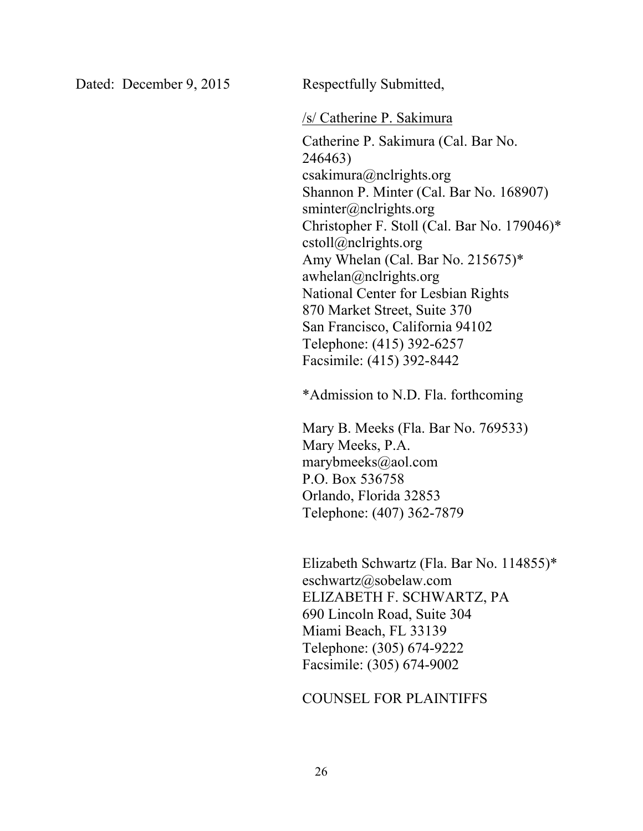Dated: December 9, 2015 Respectfully Submitted,

#### /s/ Catherine P. Sakimura

Catherine P. Sakimura (Cal. Bar No. 246463) csakimura@nclrights.org Shannon P. Minter (Cal. Bar No. 168907) sminter@nclrights.org Christopher F. Stoll (Cal. Bar No. 179046)\* cstoll@nclrights.org Amy Whelan (Cal. Bar No. 215675)\* awhelan@nclrights.org National Center for Lesbian Rights 870 Market Street, Suite 370 San Francisco, California 94102 Telephone: (415) 392-6257 Facsimile: (415) 392-8442

\*Admission to N.D. Fla. forthcoming

Mary B. Meeks (Fla. Bar No. 769533) Mary Meeks, P.A. marybmeeks@aol.com P.O. Box 536758 Orlando, Florida 32853 Telephone: (407) 362-7879

Elizabeth Schwartz (Fla. Bar No. 114855)\* eschwartz@sobelaw.com ELIZABETH F. SCHWARTZ, PA 690 Lincoln Road, Suite 304 Miami Beach, FL 33139 Telephone: (305) 674-9222 Facsimile: (305) 674-9002

#### COUNSEL FOR PLAINTIFFS